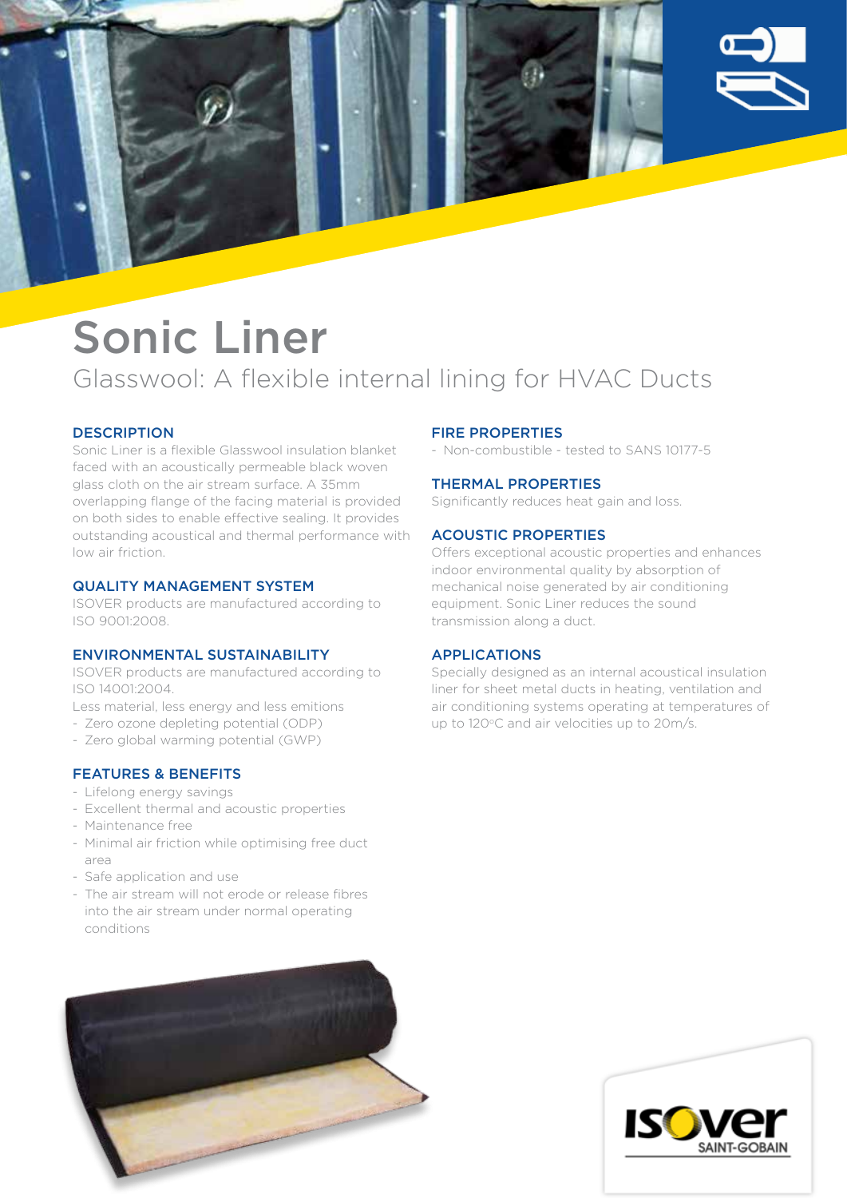

## Sonic Liner Glasswool: A flexible internal lining for HVAC Ducts

### **DESCRIPTION**

Sonic Liner is a flexible Glasswool insulation blanket faced with an acoustically permeable black woven glass cloth on the air stream surface. A 35mm overlapping flange of the facing material is provided on both sides to enable effective sealing. It provides outstanding acoustical and thermal performance with low air friction.

#### QUALITY MANAGEMENT SYSTEM

ISOVER products are manufactured according to ISO 9001:2008.

#### ENVIRONMENTAL SUSTAINABILITY

ISOVER products are manufactured according to ISO 14001:2004.

Less material, less energy and less emitions

- Zero ozone depleting potential (ODP)
- Zero global warming potential (GWP)

#### FEATURES & BENEFITS

- Lifelong energy savings
- Excellent thermal and acoustic properties
- Maintenance free
- Minimal air friction while optimising free duct area
- Safe application and use
- The air stream will not erode or release fibres into the air stream under normal operating conditions

#### FIRE PROPERTIES

- Non-combustible - tested to SANS 10177-5

#### THERMAL PROPERTIES

Significantly reduces heat gain and loss.

#### ACOUSTIC PROPERTIES

Offers exceptional acoustic properties and enhances indoor environmental quality by absorption of mechanical noise generated by air conditioning equipment. Sonic Liner reduces the sound transmission along a duct.

#### APPLICATIONS

Specially designed as an internal acoustical insulation liner for sheet metal ducts in heating, ventilation and air conditioning systems operating at temperatures of up to 120°C and air velocities up to 20m/s.